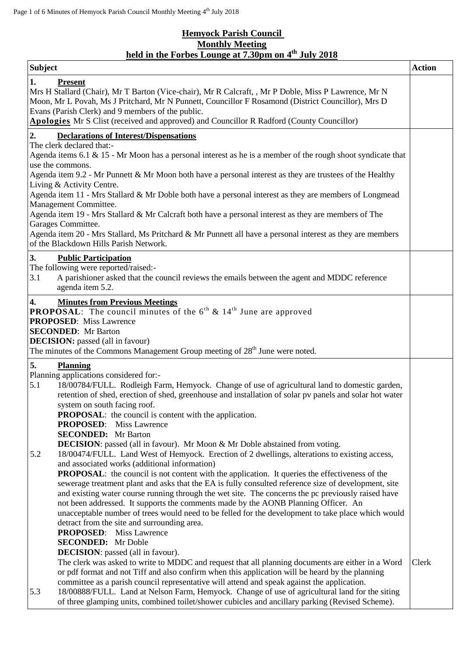## **Hemyock Parish Council Monthly Meeting held in the Forbes Lounge at 7.30pm on 4 th July 2018**

| <b>Subject</b>                                                                                                                                                                                                                                                                                                                                                                                                                                                                                                                                                                                                                                                                                                                                                                                                                                                                                                                                                                                                                                                                                                                                                                                                                                                                                                                                                            | <b>Action</b> |
|---------------------------------------------------------------------------------------------------------------------------------------------------------------------------------------------------------------------------------------------------------------------------------------------------------------------------------------------------------------------------------------------------------------------------------------------------------------------------------------------------------------------------------------------------------------------------------------------------------------------------------------------------------------------------------------------------------------------------------------------------------------------------------------------------------------------------------------------------------------------------------------------------------------------------------------------------------------------------------------------------------------------------------------------------------------------------------------------------------------------------------------------------------------------------------------------------------------------------------------------------------------------------------------------------------------------------------------------------------------------------|---------------|
| 1.<br><b>Present</b><br>Mrs H Stallard (Chair), Mr T Barton (Vice-chair), Mr R Calcraft, , Mr P Doble, Miss P Lawrence, Mr N<br>Moon, Mr L Povah, Ms J Pritchard, Mr N Punnett, Councillor F Rosamond (District Councillor), Mrs D<br>Evans (Parish Clerk) and 9 members of the public.<br>Apologies Mr S Clist (received and approved) and Councillor R Radford (County Councillor)                                                                                                                                                                                                                                                                                                                                                                                                                                                                                                                                                                                                                                                                                                                                                                                                                                                                                                                                                                                      |               |
| 2.<br><b>Declarations of Interest/Dispensations</b><br>The clerk declared that:-<br>Agenda items $6.1 \& 15$ - Mr Moon has a personal interest as he is a member of the rough shoot syndicate that<br>use the commons.<br>Agenda item 9.2 - Mr Punnett & Mr Moon both have a personal interest as they are trustees of the Healthy<br>Living & Activity Centre.<br>Agenda item 11 - Mrs Stallard & Mr Doble both have a personal interest as they are members of Longmead<br>Management Committee.<br>Agenda item 19 - Mrs Stallard & Mr Calcraft both have a personal interest as they are members of The<br>Garages Committee.                                                                                                                                                                                                                                                                                                                                                                                                                                                                                                                                                                                                                                                                                                                                          |               |
| Agenda item 20 - Mrs Stallard, Ms Pritchard & Mr Punnett all have a personal interest as they are members<br>of the Blackdown Hills Parish Network.<br>3.<br><b>Public Participation</b><br>The following were reported/raised:-<br>3.1<br>A parishioner asked that the council reviews the emails between the agent and MDDC reference                                                                                                                                                                                                                                                                                                                                                                                                                                                                                                                                                                                                                                                                                                                                                                                                                                                                                                                                                                                                                                   |               |
| agenda item 5.2.<br>$\boldsymbol{4}$ .<br><b>Minutes from Previous Meetings</b><br><b>PROPOSAL:</b> The council minutes of the $6^{th}$ & $14^{th}$ June are approved<br><b>PROPOSED:</b> Miss Lawrence<br><b>SECONDED:</b> Mr Barton<br><b>DECISION:</b> passed (all in favour)<br>The minutes of the Commons Management Group meeting of 28 <sup>th</sup> June were noted.                                                                                                                                                                                                                                                                                                                                                                                                                                                                                                                                                                                                                                                                                                                                                                                                                                                                                                                                                                                              |               |
| 5.<br><b>Planning</b><br>Planning applications considered for:-<br>5.1<br>18/00784/FULL. Rodleigh Farm, Hemyock. Change of use of agricultural land to domestic garden,<br>retention of shed, erection of shed, greenhouse and installation of solar pv panels and solar hot water<br>system on south facing roof.<br><b>PROPOSAL:</b> the council is content with the application.<br><b>PROPOSED:</b> Miss Lawrence<br><b>SECONDED:</b> Mr Barton<br>DECISION: passed (all in favour). Mr Moon & Mr Doble abstained from voting.<br>5.2<br>18/00474/FULL. Land West of Hemyock. Erection of 2 dwellings, alterations to existing access,<br>and associated works (additional information)<br><b>PROPOSAL:</b> the council is not content with the application. It queries the effectiveness of the<br>sewerage treatment plant and asks that the EA is fully consulted reference size of development, site<br>and existing water course running through the wet site. The concerns the pc previously raised have<br>not been addressed. It supports the comments made by the AONB Planning Officer. An<br>unacceptable number of trees would need to be felled for the development to take place which would<br>detract from the site and surrounding area.<br><b>PROPOSED:</b> Miss Lawrence<br><b>SECONDED:</b> Mr Doble<br><b>DECISION</b> : passed (all in favour). |               |
| The clerk was asked to write to MDDC and request that all planning documents are either in a Word<br>or pdf format and not Tiff and also confirm when this application will be heard by the planning<br>committee as a parish council representative will attend and speak against the application.<br>18/00888/FULL. Land at Nelson Farm, Hemyock. Change of use of agricultural land for the siting<br>5.3<br>of three glamping units, combined toilet/shower cubicles and ancillary parking (Revised Scheme).                                                                                                                                                                                                                                                                                                                                                                                                                                                                                                                                                                                                                                                                                                                                                                                                                                                          | Clerk         |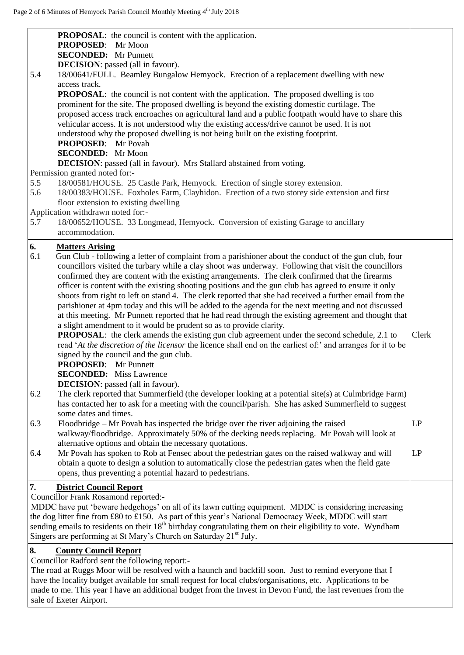| <b>PROPOSAL:</b> the council is content with the application.<br><b>PROPOSED:</b> Mr Moon<br><b>SECONDED:</b> Mr Punnett                                                                                                                                                                                                                                                                                                                                                                                                                                                                                                                                                                                                                                                                                                                                                                                                                                                                                                                                                                                                                                                                                                                                                                                                                                                                                                                                                                                                                                                                                                                                                                                                                                                                                                                                                                                                                                                                                                               |                   |
|----------------------------------------------------------------------------------------------------------------------------------------------------------------------------------------------------------------------------------------------------------------------------------------------------------------------------------------------------------------------------------------------------------------------------------------------------------------------------------------------------------------------------------------------------------------------------------------------------------------------------------------------------------------------------------------------------------------------------------------------------------------------------------------------------------------------------------------------------------------------------------------------------------------------------------------------------------------------------------------------------------------------------------------------------------------------------------------------------------------------------------------------------------------------------------------------------------------------------------------------------------------------------------------------------------------------------------------------------------------------------------------------------------------------------------------------------------------------------------------------------------------------------------------------------------------------------------------------------------------------------------------------------------------------------------------------------------------------------------------------------------------------------------------------------------------------------------------------------------------------------------------------------------------------------------------------------------------------------------------------------------------------------------------|-------------------|
| <b>DECISION</b> : passed (all in favour).<br>5.4<br>18/00641/FULL. Beamley Bungalow Hemyock. Erection of a replacement dwelling with new                                                                                                                                                                                                                                                                                                                                                                                                                                                                                                                                                                                                                                                                                                                                                                                                                                                                                                                                                                                                                                                                                                                                                                                                                                                                                                                                                                                                                                                                                                                                                                                                                                                                                                                                                                                                                                                                                               |                   |
| access track.<br><b>PROPOSAL:</b> the council is not content with the application. The proposed dwelling is too<br>prominent for the site. The proposed dwelling is beyond the existing domestic curtilage. The<br>proposed access track encroaches on agricultural land and a public footpath would have to share this<br>vehicular access. It is not understood why the existing access/drive cannot be used. It is not<br>understood why the proposed dwelling is not being built on the existing footprint.<br><b>PROPOSED:</b> Mr Povah<br><b>SECONDED:</b> Mr Moon<br><b>DECISION:</b> passed (all in favour). Mrs Stallard abstained from voting.<br>Permission granted noted for:-<br>5.5<br>18/00581/HOUSE. 25 Castle Park, Hemyock. Erection of single storey extension.<br>5.6<br>18/00383/HOUSE. Foxholes Farm, Clayhidon. Erection of a two storey side extension and first<br>floor extension to existing dwelling<br>Application withdrawn noted for:-<br>5.7<br>18/00652/HOUSE. 33 Longmead, Hemyock. Conversion of existing Garage to ancillary                                                                                                                                                                                                                                                                                                                                                                                                                                                                                                                                                                                                                                                                                                                                                                                                                                                                                                                                                                       |                   |
| accommodation.                                                                                                                                                                                                                                                                                                                                                                                                                                                                                                                                                                                                                                                                                                                                                                                                                                                                                                                                                                                                                                                                                                                                                                                                                                                                                                                                                                                                                                                                                                                                                                                                                                                                                                                                                                                                                                                                                                                                                                                                                         |                   |
| 6.<br><b>Matters Arising</b><br>6.1<br>Gun Club - following a letter of complaint from a parishioner about the conduct of the gun club, four<br>councillors visited the turbary while a clay shoot was underway. Following that visit the councillors<br>confirmed they are content with the existing arrangements. The clerk confirmed that the firearms<br>officer is content with the existing shooting positions and the gun club has agreed to ensure it only<br>shoots from right to left on stand 4. The clerk reported that she had received a further email from the<br>parishioner at 4pm today and this will be added to the agenda for the next meeting and not discussed<br>at this meeting. Mr Punnett reported that he had read through the existing agreement and thought that<br>a slight amendment to it would be prudent so as to provide clarity.<br>PROPOSAL: the clerk amends the existing gun club agreement under the second schedule, 2.1 to<br>read 'At the discretion of the licensor the licence shall end on the earliest of:' and arranges for it to be<br>signed by the council and the gun club.<br><b>PROPOSED:</b> Mr Punnett<br><b>SECONDED:</b> Miss Lawrence<br><b>DECISION</b> : passed (all in favour).<br>6.2<br>The clerk reported that Summerfield (the developer looking at a potential site(s) at Culmbridge Farm)<br>has contacted her to ask for a meeting with the council/parish. She has asked Summerfield to suggest<br>some dates and times.<br>Floodbridge – Mr Povah has inspected the bridge over the river adjoining the raised<br>6.3<br>walkway/floodbridge. Approximately 50% of the decking needs replacing. Mr Povah will look at<br>alternative options and obtain the necessary quotations.<br>Mr Povah has spoken to Rob at Fensec about the pedestrian gates on the raised walkway and will<br>6.4<br>obtain a quote to design a solution to automatically close the pedestrian gates when the field gate<br>opens, thus preventing a potential hazard to pedestrians. | Clerk<br>LP<br>LP |
| <b>District Council Report</b><br>7.                                                                                                                                                                                                                                                                                                                                                                                                                                                                                                                                                                                                                                                                                                                                                                                                                                                                                                                                                                                                                                                                                                                                                                                                                                                                                                                                                                                                                                                                                                                                                                                                                                                                                                                                                                                                                                                                                                                                                                                                   |                   |
| <b>Councillor Frank Rosamond reported:-</b><br>MDDC have put 'beware hedgehogs' on all of its lawn cutting equipment. MDDC is considering increasing<br>the dog litter fine from £80 to £150. As part of this year's National Democracy Week, MDDC will start<br>sending emails to residents on their $18th$ birthday congratulating them on their eligibility to vote. Wyndham<br>Singers are performing at St Mary's Church on Saturday 21 <sup>st</sup> July.                                                                                                                                                                                                                                                                                                                                                                                                                                                                                                                                                                                                                                                                                                                                                                                                                                                                                                                                                                                                                                                                                                                                                                                                                                                                                                                                                                                                                                                                                                                                                                       |                   |
| 8.<br><b>County Council Report</b><br>Councillor Radford sent the following report:-<br>The road at Ruggs Moor will be resolved with a haunch and backfill soon. Just to remind everyone that I<br>have the locality budget available for small request for local clubs/organisations, etc. Applications to be<br>made to me. This year I have an additional budget from the Invest in Devon Fund, the last revenues from the<br>sale of Exeter Airport.                                                                                                                                                                                                                                                                                                                                                                                                                                                                                                                                                                                                                                                                                                                                                                                                                                                                                                                                                                                                                                                                                                                                                                                                                                                                                                                                                                                                                                                                                                                                                                               |                   |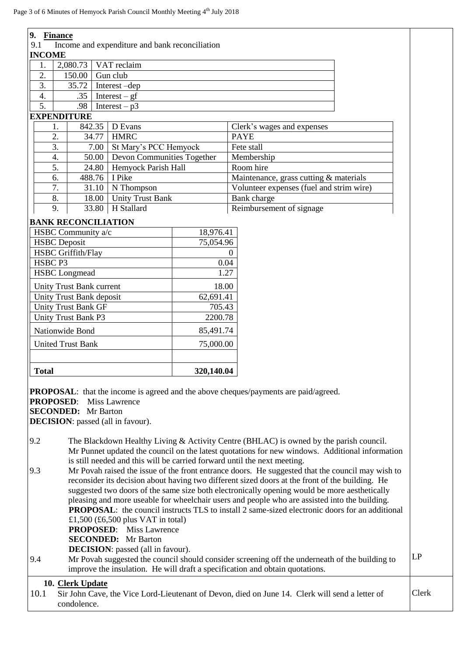| 9. Finance                                                                                                  |                                           |                                                |            |                                                                                                                                                                            |  |
|-------------------------------------------------------------------------------------------------------------|-------------------------------------------|------------------------------------------------|------------|----------------------------------------------------------------------------------------------------------------------------------------------------------------------------|--|
| 9.1                                                                                                         |                                           | Income and expenditure and bank reconciliation |            |                                                                                                                                                                            |  |
| <b>INCOME</b>                                                                                               |                                           |                                                |            |                                                                                                                                                                            |  |
| 1.                                                                                                          | 2,080.73                                  | VAT reclaim                                    |            |                                                                                                                                                                            |  |
| 2.                                                                                                          | 150.00                                    | Gun club                                       |            |                                                                                                                                                                            |  |
| 3.                                                                                                          | 35.72                                     | Interest-dep                                   |            |                                                                                                                                                                            |  |
| 4.                                                                                                          | .35                                       | Interest $- gf$                                |            |                                                                                                                                                                            |  |
| $\overline{5}$ .                                                                                            | .98                                       | Interest $-p3$                                 |            |                                                                                                                                                                            |  |
|                                                                                                             | <b>EXPENDITURE</b>                        |                                                |            |                                                                                                                                                                            |  |
| 1.                                                                                                          | 842.35                                    | D Evans                                        |            | Clerk's wages and expenses                                                                                                                                                 |  |
| 2.                                                                                                          | 34.77                                     | <b>HMRC</b>                                    |            | <b>PAYE</b>                                                                                                                                                                |  |
| 3.                                                                                                          |                                           | 7.00   St Mary's PCC Hemyock                   |            | Fete stall                                                                                                                                                                 |  |
| 4.                                                                                                          |                                           | 50.00 Devon Communities Together               |            | Membership                                                                                                                                                                 |  |
| 5.                                                                                                          | 24.80                                     | Hemyock Parish Hall                            |            | Room hire                                                                                                                                                                  |  |
| 6.                                                                                                          | 488.76                                    | I Pike                                         |            | Maintenance, grass cutting & materials                                                                                                                                     |  |
| 7.                                                                                                          | 31.10                                     | N Thompson                                     |            | Volunteer expenses (fuel and strim wire)                                                                                                                                   |  |
| 8.                                                                                                          | 18.00                                     | <b>Unity Trust Bank</b>                        |            | Bank charge                                                                                                                                                                |  |
| 9.                                                                                                          | 33.80                                     | H Stallard                                     |            | Reimbursement of signage                                                                                                                                                   |  |
|                                                                                                             | <b>BANK RECONCILIATION</b>                |                                                |            |                                                                                                                                                                            |  |
|                                                                                                             | HSBC Community a/c                        |                                                | 18,976.41  |                                                                                                                                                                            |  |
|                                                                                                             | <b>HSBC</b> Deposit                       |                                                | 75,054.96  |                                                                                                                                                                            |  |
|                                                                                                             | <b>HSBC</b> Griffith/Flay                 |                                                |            | $\Omega$                                                                                                                                                                   |  |
| HSBC <sub>P3</sub>                                                                                          |                                           |                                                | 0.04       |                                                                                                                                                                            |  |
|                                                                                                             | <b>HSBC</b> Longmead                      |                                                | 1.27       |                                                                                                                                                                            |  |
|                                                                                                             | <b>Unity Trust Bank current</b>           |                                                | 18.00      |                                                                                                                                                                            |  |
|                                                                                                             | Unity Trust Bank deposit                  |                                                | 62,691.41  |                                                                                                                                                                            |  |
|                                                                                                             | <b>Unity Trust Bank GF</b>                |                                                | 705.43     |                                                                                                                                                                            |  |
| Unity Trust Bank P3                                                                                         |                                           | 2200.78                                        |            |                                                                                                                                                                            |  |
| Nationwide Bond                                                                                             |                                           | 85,491.74                                      |            |                                                                                                                                                                            |  |
| <b>United Trust Bank</b>                                                                                    |                                           | 75,000.00                                      |            |                                                                                                                                                                            |  |
|                                                                                                             |                                           |                                                |            |                                                                                                                                                                            |  |
| <b>Total</b>                                                                                                |                                           |                                                | 320,140.04 |                                                                                                                                                                            |  |
|                                                                                                             |                                           |                                                |            |                                                                                                                                                                            |  |
|                                                                                                             |                                           |                                                |            | <b>PROPOSAL:</b> that the income is agreed and the above cheques/payments are paid/agreed.                                                                                 |  |
| <b>PROPOSED:</b>                                                                                            |                                           | Miss Lawrence                                  |            |                                                                                                                                                                            |  |
|                                                                                                             | <b>SECONDED:</b> Mr Barton                |                                                |            |                                                                                                                                                                            |  |
|                                                                                                             | <b>DECISION</b> : passed (all in favour). |                                                |            |                                                                                                                                                                            |  |
|                                                                                                             |                                           |                                                |            |                                                                                                                                                                            |  |
| 9.2                                                                                                         |                                           |                                                |            | The Blackdown Healthy Living & Activity Centre (BHLAC) is owned by the parish council.                                                                                     |  |
|                                                                                                             |                                           |                                                |            | Mr Punnet updated the council on the latest quotations for new windows. Additional information<br>is still needed and this will be carried forward until the next meeting. |  |
| 9.3                                                                                                         |                                           |                                                |            | Mr Povah raised the issue of the front entrance doors. He suggested that the council may wish to                                                                           |  |
|                                                                                                             |                                           |                                                |            | reconsider its decision about having two different sized doors at the front of the building. He                                                                            |  |
|                                                                                                             |                                           |                                                |            | suggested two doors of the same size both electronically opening would be more aesthetically                                                                               |  |
|                                                                                                             |                                           |                                                |            | pleasing and more useable for wheelchair users and people who are assisted into the building.                                                                              |  |
|                                                                                                             |                                           |                                                |            | <b>PROPOSAL:</b> the council instructs TLS to install 2 same-sized electronic doors for an additional                                                                      |  |
|                                                                                                             | £1,500 (£6,500 plus VAT in total)         |                                                |            |                                                                                                                                                                            |  |
|                                                                                                             |                                           | <b>PROPOSED:</b> Miss Lawrence                 |            |                                                                                                                                                                            |  |
|                                                                                                             | <b>SECONDED:</b> Mr Barton                |                                                |            |                                                                                                                                                                            |  |
|                                                                                                             |                                           | <b>DECISION</b> : passed (all in favour).      |            |                                                                                                                                                                            |  |
| LP<br>Mr Povah suggested the council should consider screening off the underneath of the building to<br>9.4 |                                           |                                                |            |                                                                                                                                                                            |  |
| improve the insulation. He will draft a specification and obtain quotations.                                |                                           |                                                |            |                                                                                                                                                                            |  |
|                                                                                                             | 10. Clerk Update                          |                                                |            |                                                                                                                                                                            |  |
|                                                                                                             |                                           |                                                |            |                                                                                                                                                                            |  |

10.1 Sir John Cave, the Vice Lord-Lieutenant of Devon, died on June 14. Clerk will send a letter of condolence. Clerk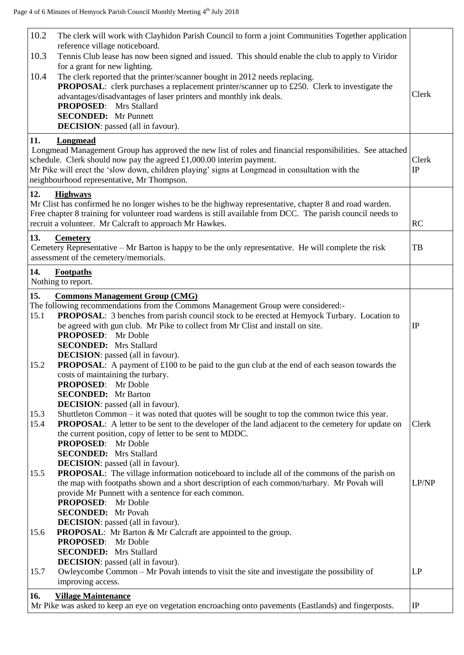| 10.2 | The clerk will work with Clayhidon Parish Council to form a joint Communities Together application<br>reference village noticeboard.                                                |          |
|------|-------------------------------------------------------------------------------------------------------------------------------------------------------------------------------------|----------|
| 10.3 | Tennis Club lease has now been signed and issued. This should enable the club to apply to Viridor                                                                                   |          |
|      | for a grant for new lighting.                                                                                                                                                       |          |
| 10.4 | The clerk reported that the printer/scanner bought in 2012 needs replacing.<br><b>PROPOSAL:</b> clerk purchases a replacement printer/scanner up to £250. Clerk to investigate the  |          |
|      | advantages/disadvantages of laser printers and monthly ink deals.                                                                                                                   | Clerk    |
|      | <b>PROPOSED:</b> Mrs Stallard                                                                                                                                                       |          |
|      | <b>SECONDED:</b> Mr Punnett                                                                                                                                                         |          |
|      | <b>DECISION</b> : passed (all in favour).                                                                                                                                           |          |
| 11.  | Longmead                                                                                                                                                                            |          |
|      | Longmead Management Group has approved the new list of roles and financial responsibilities. See attached<br>schedule. Clerk should now pay the agreed $£1,000.00$ interim payment. | Clerk    |
|      | Mr Pike will erect the 'slow down, children playing' signs at Longmead in consultation with the                                                                                     | IP       |
|      | neighbourhood representative, Mr Thompson.                                                                                                                                          |          |
| 12.  | <b>Highways</b>                                                                                                                                                                     |          |
|      | Mr Clist has confirmed he no longer wishes to be the highway representative, chapter 8 and road warden.                                                                             |          |
|      | Free chapter 8 training for volunteer road wardens is still available from DCC. The parish council needs to                                                                         |          |
|      | recruit a volunteer. Mr Calcraft to approach Mr Hawkes.                                                                                                                             | RC       |
| 13.  | <b>Cemetery</b>                                                                                                                                                                     |          |
|      | Cemetery Representative – Mr Barton is happy to be the only representative. He will complete the risk<br>assessment of the cemetery/memorials.                                      | TB       |
|      |                                                                                                                                                                                     |          |
| 14.  | <b>Footpaths</b><br>Nothing to report.                                                                                                                                              |          |
|      |                                                                                                                                                                                     |          |
| 15.  | <b>Commons Management Group (CMG)</b><br>The following recommendations from the Commons Management Group were considered:-                                                          |          |
| 15.1 | PROPOSAL: 3 benches from parish council stock to be erected at Hemyock Turbary. Location to                                                                                         |          |
|      | be agreed with gun club. Mr Pike to collect from Mr Clist and install on site.                                                                                                      | IP       |
|      | <b>PROPOSED:</b> Mr Doble                                                                                                                                                           |          |
|      | <b>SECONDED:</b> Mrs Stallard                                                                                                                                                       |          |
|      | <b>DECISION</b> : passed (all in favour).                                                                                                                                           |          |
| 15.2 | <b>PROPOSAL:</b> A payment of £100 to be paid to the gun club at the end of each season towards the<br>costs of maintaining the turbary.                                            |          |
|      | <b>PROPOSED:</b> Mr Doble                                                                                                                                                           |          |
|      | <b>SECONDED:</b> Mr Barton                                                                                                                                                          |          |
|      | <b>DECISION</b> : passed (all in favour).                                                                                                                                           |          |
| 15.3 | Shuttleton Common – it was noted that quotes will be sought to top the common twice this year.                                                                                      |          |
| 15.4 | PROPOSAL: A letter to be sent to the developer of the land adjacent to the cemetery for update on<br>the current position, copy of letter to be sent to MDDC.                       | Clerk    |
|      | <b>PROPOSED:</b> Mr Doble                                                                                                                                                           |          |
|      | <b>SECONDED:</b> Mrs Stallard                                                                                                                                                       |          |
|      | <b>DECISION</b> : passed (all in favour).                                                                                                                                           |          |
| 15.5 | <b>PROPOSAL:</b> The village information noticeboard to include all of the commons of the parish on                                                                                 |          |
|      | the map with footpaths shown and a short description of each common/turbary. Mr Povah will<br>provide Mr Punnett with a sentence for each common.                                   | LP/NP    |
|      | <b>PROPOSED:</b> Mr Doble                                                                                                                                                           |          |
|      | <b>SECONDED:</b> Mr Povah                                                                                                                                                           |          |
|      | <b>DECISION</b> : passed (all in favour).                                                                                                                                           |          |
| 15.6 | <b>PROPOSAL:</b> Mr Barton & Mr Calcraft are appointed to the group.                                                                                                                |          |
|      | <b>PROPOSED:</b> Mr Doble<br><b>SECONDED:</b> Mrs Stallard                                                                                                                          |          |
|      | <b>DECISION:</b> passed (all in favour).                                                                                                                                            |          |
| 15.7 | Owleycombe Common - Mr Povah intends to visit the site and investigate the possibility of                                                                                           | LP       |
|      | improving access.                                                                                                                                                                   |          |
| 16.  | <b>Village Maintenance</b>                                                                                                                                                          |          |
|      | Mr Pike was asked to keep an eye on vegetation encroaching onto pavements (Eastlands) and fingerposts.                                                                              | $\rm IP$ |
|      |                                                                                                                                                                                     |          |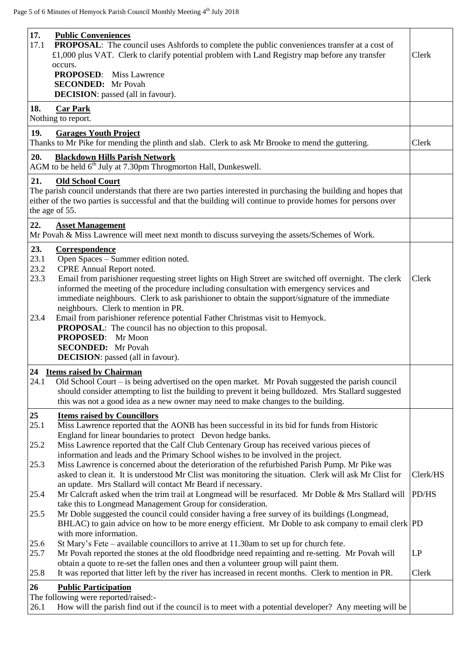$\mathsf{r}$ 

| 17.<br><b>Public Conveniences</b><br>17.1<br><b>PROPOSAL:</b> The council uses Ashfords to complete the public conveniences transfer at a cost of<br>£1,000 plus VAT. Clerk to clarify potential problem with Land Registry map before any transfer<br>occurs.<br><b>PROPOSED:</b><br><b>Miss Lawrence</b><br><b>SECONDED:</b> Mr Povah<br><b>DECISION</b> : passed (all in favour).<br>18.<br><b>Car Park</b>                                                                                                                                                                                                                                   | Clerk    |
|--------------------------------------------------------------------------------------------------------------------------------------------------------------------------------------------------------------------------------------------------------------------------------------------------------------------------------------------------------------------------------------------------------------------------------------------------------------------------------------------------------------------------------------------------------------------------------------------------------------------------------------------------|----------|
| Nothing to report.<br>19.<br><b>Garages Youth Project</b>                                                                                                                                                                                                                                                                                                                                                                                                                                                                                                                                                                                        |          |
| Thanks to Mr Pike for mending the plinth and slab. Clerk to ask Mr Brooke to mend the guttering.                                                                                                                                                                                                                                                                                                                                                                                                                                                                                                                                                 | Clerk    |
| 20.<br><b>Blackdown Hills Parish Network</b><br>AGM to be held $6^{th}$ July at 7.30pm Throgmorton Hall, Dunkeswell.                                                                                                                                                                                                                                                                                                                                                                                                                                                                                                                             |          |
| 21.<br><b>Old School Court</b><br>The parish council understands that there are two parties interested in purchasing the building and hopes that<br>either of the two parties is successful and that the building will continue to provide homes for persons over<br>the age of 55.                                                                                                                                                                                                                                                                                                                                                              |          |
| 22.<br><b>Asset Management</b><br>Mr Povah & Miss Lawrence will meet next month to discuss surveying the assets/Schemes of Work.                                                                                                                                                                                                                                                                                                                                                                                                                                                                                                                 |          |
| 23.<br>Correspondence<br>Open Spaces - Summer edition noted.<br>23.1<br>23.2<br>CPRE Annual Report noted.<br>23.3<br>Email from parishioner requesting street lights on High Street are switched off overnight. The clerk<br>informed the meeting of the procedure including consultation with emergency services and<br>immediate neighbours. Clerk to ask parishioner to obtain the support/signature of the immediate<br>neighbours. Clerk to mention in PR.<br>Email from parishioner reference potential Father Christmas visit to Hemyock.<br>23.4<br><b>PROPOSAL:</b> The council has no objection to this proposal.<br>PROPOSED: Mr Moon | Clerk    |
| <b>SECONDED:</b> Mr Povah<br><b>DECISION</b> : passed (all in favour).                                                                                                                                                                                                                                                                                                                                                                                                                                                                                                                                                                           |          |
| 24 Items raised by Chairman<br>24.1 Old School Court – is being advertised on the open market. Mr Povah suggested the parish council<br>should consider attempting to list the building to prevent it being bulldozed. Mrs Stallard suggested<br>this was not a good idea as a new owner may need to make changes to the building.                                                                                                                                                                                                                                                                                                               |          |
| 25<br><b>Items raised by Councillors</b><br>25.1<br>Miss Lawrence reported that the AONB has been successful in its bid for funds from Historic<br>England for linear boundaries to protect Devon hedge banks.<br>Miss Lawrence reported that the Calf Club Centenary Group has received various pieces of<br>25.2<br>information and leads and the Primary School wishes to be involved in the project.                                                                                                                                                                                                                                         |          |
| 25.3<br>Miss Lawrence is concerned about the deterioration of the refurbished Parish Pump. Mr Pike was<br>asked to clean it. It is understood Mr Clist was monitoring the situation. Clerk will ask Mr Clist for<br>an update. Mrs Stallard will contact Mr Beard if necessary.                                                                                                                                                                                                                                                                                                                                                                  | Clerk/HS |
| Mr Calcraft asked when the trim trail at Longmead will be resurfaced. Mr Doble & Mrs Stallard will $ PD/HS $<br>25.4<br>take this to Longmead Management Group for consideration.                                                                                                                                                                                                                                                                                                                                                                                                                                                                |          |
| Mr Doble suggested the council could consider having a free survey of its buildings (Longmead,<br>25.5<br>BHLAC) to gain advice on how to be more energy efficient. Mr Doble to ask company to email clerk PD<br>with more information.                                                                                                                                                                                                                                                                                                                                                                                                          |          |
| 25.6<br>St Mary's Fete – available councillors to arrive at 11.30am to set up for church fete.<br>25.7<br>Mr Povah reported the stones at the old floodbridge need repainting and re-setting. Mr Povah will<br>obtain a quote to re-set the fallen ones and then a volunteer group will paint them.                                                                                                                                                                                                                                                                                                                                              | LP       |
| 25.8<br>It was reported that litter left by the river has increased in recent months. Clerk to mention in PR.<br>26<br><b>Public Participation</b>                                                                                                                                                                                                                                                                                                                                                                                                                                                                                               | Clerk    |
| The following were reported/raised:-<br>How will the parish find out if the council is to meet with a potential developer? Any meeting will be<br>26.1                                                                                                                                                                                                                                                                                                                                                                                                                                                                                           |          |

 $\overline{\phantom{a}}$